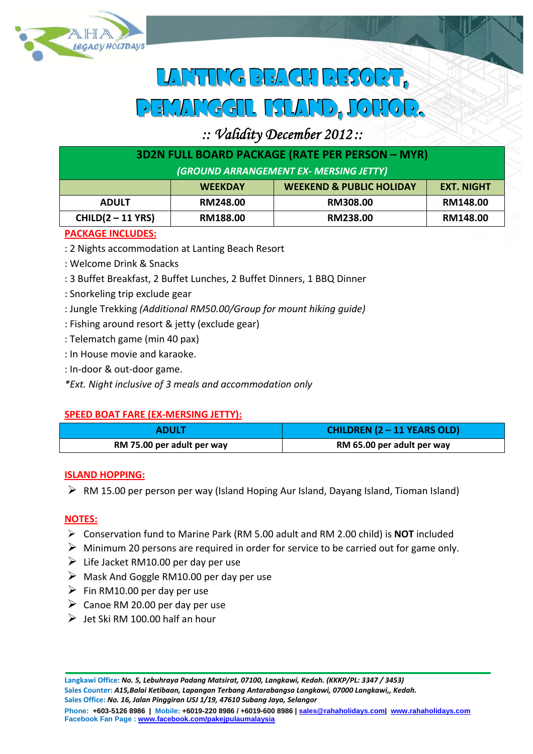

# **LANTTIGBEAGURESORT,** pemanggil island, johor.

# *:: Validity December 2012 ::*

| <b>3D2N FULL BOARD PACKAGE (RATE PER PERSON - MYR)</b> |                |                                     |                   |  |
|--------------------------------------------------------|----------------|-------------------------------------|-------------------|--|
| (GROUND ARRANGEMENT EX- MERSING JETTY)                 |                |                                     |                   |  |
|                                                        | <b>WEEKDAY</b> | <b>WEEKEND &amp; PUBLIC HOLIDAY</b> | <b>EXT. NIGHT</b> |  |
| <b>ADULT</b>                                           | RM248.00       | RM308.00                            | RM148.00          |  |
| CHILD(2 – 11 YRS)                                      | RM188.00       | RM238.00                            | RM148.00          |  |

### **PACKAGE INCLUDES:**

- : 2 Nights accommodation at Lanting Beach Resort
- : Welcome Drink & Snacks
- : 3 Buffet Breakfast, 2 Buffet Lunches, 2 Buffet Dinners, 1 BBQ Dinner
- : Snorkeling trip exclude gear
- : Jungle Trekking *(Additional RM50.00/Group for mount hiking guide)*
- : Fishing around resort & jetty (exclude gear)
- : Telematch game (min 40 pax)
- : In House movie and karaoke.
- : In‐door & out‐door game.
- *\*Ext. Night inclusive of 3 meals and accommodation only*

#### **SPEED BOAT FARE (EX‐MERSING JETTY):**

| <b>ADULT</b>               | <b>CHILDREN (2 - 11 YEARS OLD)</b> |  |
|----------------------------|------------------------------------|--|
| RM 75.00 per adult per way | RM 65.00 per adult per way         |  |

#### **ISLAND HOPPING:**

 $\triangleright$  RM 15.00 per person per way (Island Hoping Aur Island, Dayang Island, Tioman Island)

#### **NOTES:**

- Conservation fund to Marine Park (RM 5.00 adult and RM 2.00 child) is **NOT** included
- $\triangleright$  Minimum 20 persons are required in order for service to be carried out for game only.
- $\triangleright$  Life Jacket RM10.00 per day per use
- $\triangleright$  Mask And Goggle RM10.00 per day per use
- $\triangleright$  Fin RM10.00 per day per use
- $\triangleright$  Canoe RM 20.00 per day per use
- $\triangleright$  Let Ski RM 100.00 half an hour